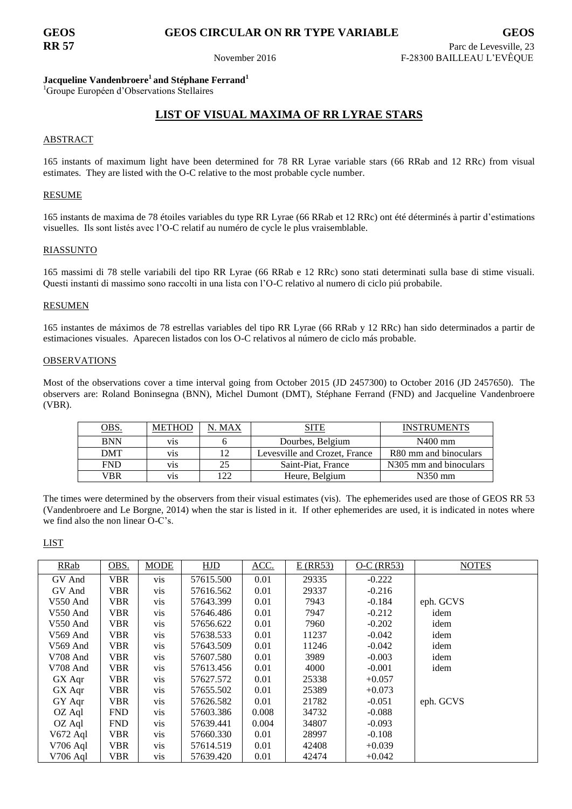# **GEOS GEOS CIRCULAR ON RR TYPE VARIABLE GEOS**

## **Jacqueline Vandenbroere<sup>1</sup> and Stéphane Ferrand<sup>1</sup>**

<sup>1</sup>Groupe Européen d'Observations Stellaires

## **LIST OF VISUAL MAXIMA OF RR LYRAE STARS**

## ABSTRACT

165 instants of maximum light have been determined for 78 RR Lyrae variable stars (66 RRab and 12 RRc) from visual estimates. They are listed with the O-C relative to the most probable cycle number.

## RESUME

165 instants de maxima de 78 étoiles variables du type RR Lyrae (66 RRab et 12 RRc) ont été déterminés à partir d'estimations visuelles. Ils sont listés avec l'O-C relatif au numéro de cycle le plus vraisemblable.

## RIASSUNTO

165 massimi di 78 stelle variabili del tipo RR Lyrae (66 RRab e 12 RRc) sono stati determinati sulla base di stime visuali. Questi instanti di massimo sono raccolti in una lista con l'O-C relativo al numero di ciclo piú probabile.

## **RESUMEN**

165 instantes de máximos de 78 estrellas variables del tipo RR Lyrae (66 RRab y 12 RRc) han sido determinados a partir de estimaciones visuales. Aparecen listados con los O-C relativos al número de ciclo más probable.

### OBSERVATIONS

Most of the observations cover a time interval going from October 2015 (JD 2457300) to October 2016 (JD 2457650). The observers are: Roland Boninsegna (BNN), Michel Dumont (DMT), Stéphane Ferrand (FND) and Jacqueline Vandenbroere (VBR).

| <u>dbs.</u> | METHOD           | . MAX | SITE                          | <b>INSTRUMENTS</b>                  |
|-------------|------------------|-------|-------------------------------|-------------------------------------|
| <b>BNN</b>  | V <sub>1</sub> S |       | Dourbes, Belgium              | $N400$ mm                           |
| DMT         | V <sub>1</sub> S | 12    | Levesville and Crozet, France | R80 mm and binoculars               |
| <b>FND</b>  | V <sub>1</sub> S | 25    | Saint-Piat, France            | N <sub>3</sub> 05 mm and binoculars |
| VBR         | V <sub>1</sub> S | 122   | Heure, Belgium                | $N350$ mm                           |

The times were determined by the observers from their visual estimates (vis). The ephemerides used are those of GEOS RR 53 (Vandenbroere and Le Borgne, 2014) when the star is listed in it. If other ephemerides are used, it is indicated in notes where we find also the non linear O-C's.

LIST

| RRab       | OBS.       | <b>MODE</b> | HJD       | <u>ACC.</u> | $E$ (RR53) | $O-C$ (RR53) | <b>NOTES</b> |
|------------|------------|-------------|-----------|-------------|------------|--------------|--------------|
| GV And     | VBR        | <b>VIS</b>  | 57615.500 | 0.01        | 29335      | $-0.222$     |              |
| GV And     | VBR        | vis         | 57616.562 | 0.01        | 29337      | $-0.216$     |              |
| $V550$ And | VBR        | vis         | 57643.399 | 0.01        | 7943       | $-0.184$     | eph. GCVS    |
| V550 And   | VBR        | vis         | 57646.486 | 0.01        | 7947       | $-0.212$     | idem         |
| $V550$ And | VBR        | vis         | 57656.622 | 0.01        | 7960       | $-0.202$     | idem         |
| $V569$ And | <b>VBR</b> | vis         | 57638.533 | 0.01        | 11237      | $-0.042$     | idem         |
| $V569$ And | VBR        | vis         | 57643.509 | 0.01        | 11246      | $-0.042$     | idem         |
| $V708$ And | VBR        | vis         | 57607.580 | 0.01        | 3989       | $-0.003$     | idem         |
| V708 And   | <b>VBR</b> | vis         | 57613.456 | 0.01        | 4000       | $-0.001$     | idem         |
| GX Aqr     | VBR        | vis         | 57627.572 | 0.01        | 25338      | $+0.057$     |              |
| GX Aqr     | VBR        | vis         | 57655.502 | 0.01        | 25389      | $+0.073$     |              |
| GY Aqr     | VBR        | vis         | 57626.582 | 0.01        | 21782      | $-0.051$     | eph. GCVS    |
| OZ Aql     | <b>FND</b> | vis         | 57603.386 | 0.008       | 34732      | $-0.088$     |              |
| OZ Aql     | <b>FND</b> | vis         | 57639.441 | 0.004       | 34807      | $-0.093$     |              |
| V672 Aql   | VBR        | vis         | 57660.330 | 0.01        | 28997      | $-0.108$     |              |
| $V706$ Aql | VBR        | <b>vis</b>  | 57614.519 | 0.01        | 42408      | $+0.039$     |              |
| V706 Aql   | VBR        | <b>vis</b>  | 57639.420 | 0.01        | 42474      | $+0.042$     |              |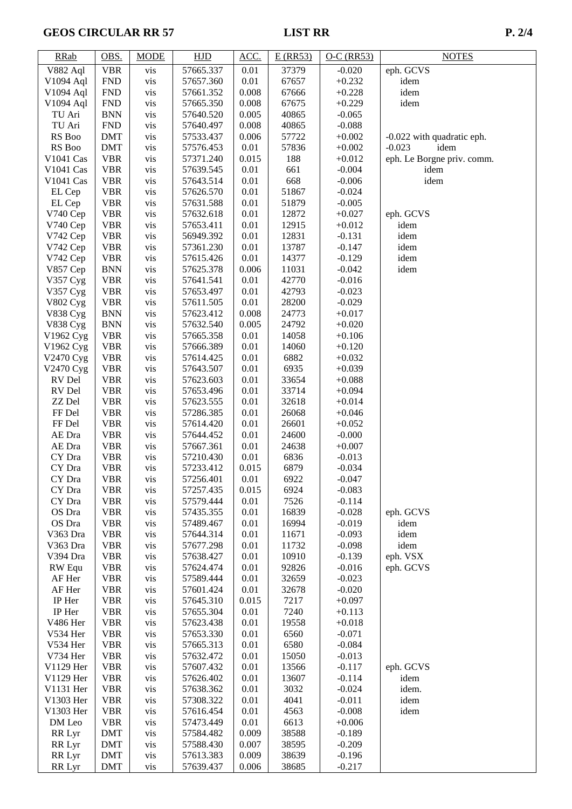# GEOS CIRCULAR RR 57 LIST RR P. 2/4

| <b>RRab</b>            | OBS.                     | <b>MODE</b> | <b>HJD</b>             | ACC.          | $E$ (RR53)     | $O-C$ (RR53)         | <b>NOTES</b>               |
|------------------------|--------------------------|-------------|------------------------|---------------|----------------|----------------------|----------------------------|
| <b>V882 Aql</b>        | <b>VBR</b>               | vis         | 57665.337              | 0.01          | 37379          | $-0.020$             | eph. GCVS                  |
| V1094 Aql              | <b>FND</b>               | vis         | 57657.360              | 0.01          | 67657          | $+0.232$             | idem                       |
| V1094 Aql              | <b>FND</b>               | vis         | 57661.352              | 0.008         | 67666          | $+0.228$             | idem                       |
| V1094 Aql              | <b>FND</b>               | vis         | 57665.350              | 0.008         | 67675          | $+0.229$             | idem                       |
| TU Ari                 | <b>BNN</b>               | vis         | 57640.520              | 0.005         | 40865          | $-0.065$             |                            |
| TU Ari                 | <b>FND</b>               | vis         | 57640.497              | 0.008         | 40865          | $-0.088$             |                            |
| RS Boo                 | <b>DMT</b>               | vis         | 57533.437              | 0.006         | 57722          | $+0.002$             | -0.022 with quadratic eph. |
| RS Boo                 | <b>DMT</b>               | vis         | 57576.453              | 0.01          | 57836          | $+0.002$             | $-0.023$<br>idem           |
| V1041 Cas              | <b>VBR</b>               | vis         | 57371.240              | 0.015         | 188            | $+0.012$             | eph. Le Borgne priv. comm. |
| V1041 Cas              | <b>VBR</b>               | vis         | 57639.545              | 0.01          | 661            | $-0.004$             | idem                       |
| V1041 Cas              | <b>VBR</b>               | vis         | 57643.514              | 0.01          | 668            | $-0.006$             | idem                       |
| EL Cep                 | <b>VBR</b>               | vis         | 57626.570              | 0.01          | 51867          | $-0.024$             |                            |
| EL Cep                 | <b>VBR</b>               | vis         | 57631.588              | 0.01          | 51879          | $-0.005$             |                            |
| V740 Cep               | <b>VBR</b>               | vis         | 57632.618              | 0.01          | 12872          | $+0.027$             | eph. GCVS                  |
| V740 Cep               | <b>VBR</b>               | vis         | 57653.411              | 0.01          | 12915          | $+0.012$             | idem                       |
| V742 Cep               | <b>VBR</b>               | vis         | 56949.392              | 0.01          | 12831          | $-0.131$             | idem                       |
| V742 Cep               | <b>VBR</b>               | vis         | 57361.230              | 0.01          | 13787          | $-0.147$             | idem                       |
| V742 Cep<br>V857 Cep   | <b>VBR</b>               | vis         | 57615.426<br>57625.378 | 0.01<br>0.006 | 14377          | $-0.129$<br>$-0.042$ | idem<br>idem               |
| V357 Cyg               | <b>BNN</b><br><b>VBR</b> | vis         | 57641.541              | 0.01          | 11031<br>42770 | $-0.016$             |                            |
| V357 Cyg               | <b>VBR</b>               | vis<br>vis  | 57653.497              | 0.01          | 42793          | $-0.023$             |                            |
| V802 Cyg               | <b>VBR</b>               | vis         | 57611.505              | 0.01          | 28200          | $-0.029$             |                            |
| <b>V838 Cyg</b>        | <b>BNN</b>               | vis         | 57623.412              | 0.008         | 24773          | $+0.017$             |                            |
| <b>V838 Cyg</b>        | <b>BNN</b>               | vis         | 57632.540              | 0.005         | 24792          | $+0.020$             |                            |
| V1962 Cyg              | <b>VBR</b>               | vis         | 57665.358              | 0.01          | 14058          | $+0.106$             |                            |
| V1962 Cyg              | <b>VBR</b>               | vis         | 57666.389              | 0.01          | 14060          | $+0.120$             |                            |
| V2470 Cyg              | <b>VBR</b>               | vis         | 57614.425              | 0.01          | 6882           | $+0.032$             |                            |
| V2470 Cyg              | <b>VBR</b>               | vis         | 57643.507              | 0.01          | 6935           | $+0.039$             |                            |
| RV Del                 | <b>VBR</b>               | vis         | 57623.603              | 0.01          | 33654          | $+0.088$             |                            |
| RV Del                 | <b>VBR</b>               | vis         | 57653.496              | 0.01          | 33714          | $+0.094$             |                            |
| ZZ Del                 | <b>VBR</b>               | vis         | 57623.555              | 0.01          | 32618          | $+0.014$             |                            |
| FF Del                 | <b>VBR</b>               | vis         | 57286.385              | 0.01          | 26068          | $+0.046$             |                            |
| FF Del                 | <b>VBR</b>               | vis         | 57614.420              | 0.01          | 26601          | $+0.052$             |                            |
| AE Dra                 | <b>VBR</b>               | vis         | 57644.452              | 0.01          | 24600          | $-0.000$             |                            |
| AE Dra                 | <b>VBR</b>               | vis         | 57667.361              | 0.01          | 24638          | $+0.007$             |                            |
| CY Dra                 | <b>VBR</b>               | vis         | 57210.430              | 0.01          | 6836           | $-0.013$             |                            |
| CY Dra                 | <b>VBR</b>               | vis         | 57233.412              | 0.015         | 6879           | $-0.034$             |                            |
| CY Dra                 | <b>VBR</b>               | vis         | 57256.401              | 0.01          | 6922           | $-0.047$             |                            |
| CY Dra                 | <b>VBR</b>               | <b>VIS</b>  | 57257.435              | 0.015         | 6924           | $-0.083$             |                            |
| CY Dra                 | <b>VBR</b>               | vis         | 57579.444              | 0.01          | 7526           | $-0.114$             |                            |
| OS Dra                 | <b>VBR</b>               | vis         | 57435.355              | 0.01          | 16839          | $-0.028$             | eph. GCVS                  |
| OS Dra                 | <b>VBR</b>               | vis         | 57489.467              | 0.01          | 16994          | $-0.019$             | idem                       |
| V363 Dra               | <b>VBR</b>               | vis         | 57644.314              | 0.01          | 11671          | $-0.093$             | idem                       |
| V363 Dra               | <b>VBR</b>               | vis         | 57677.298              | 0.01          | 11732          | $-0.098$             | idem                       |
| V394 Dra               | <b>VBR</b>               | vis         | 57638.427              | 0.01          | 10910          | $-0.139$             | eph. VSX                   |
| RW Equ                 | <b>VBR</b>               | vis         | 57624.474              | 0.01          | 92826          | $-0.016$             | eph. GCVS                  |
| AF Her                 | <b>VBR</b>               | vis         | 57589.444              | 0.01          | 32659          | $-0.023$             |                            |
| AF Her                 | <b>VBR</b>               | vis         | 57601.424              | 0.01          | 32678          | $-0.020$             |                            |
| IP Her                 | <b>VBR</b>               | vis         | 57645.310              | 0.015         | 7217           | $+0.097$             |                            |
| IP Her                 | <b>VBR</b>               | vis         | 57655.304              | 0.01          | 7240           | $+0.113$             |                            |
| V486 Her               | <b>VBR</b>               | vis         | 57623.438              | 0.01          | 19558          | $+0.018$             |                            |
| V534 Her               | <b>VBR</b>               | vis         | 57653.330              | 0.01          | 6560           | $-0.071$             |                            |
| V534 Her               | <b>VBR</b>               | vis         | 57665.313              | 0.01          | 6580           | $-0.084$             |                            |
| V734 Her               | <b>VBR</b>               | vis         | 57632.472              | 0.01          | 15050          | $-0.013$             |                            |
| V1129 Her              | <b>VBR</b>               | vis         | 57607.432              | 0.01          | 13566          | $-0.117$             | eph. GCVS                  |
| V1129 Her              | <b>VBR</b>               | vis         | 57626.402              | 0.01<br>0.01  | 13607<br>3032  | $-0.114$             | idem                       |
| V1131 Her              | <b>VBR</b>               | vis         | 57638.362              |               |                | $-0.024$             | idem.                      |
| V1303 Her<br>V1303 Her | <b>VBR</b><br><b>VBR</b> | vis         | 57308.322              | 0.01<br>0.01  | 4041<br>4563   | $-0.011$<br>$-0.008$ | idem<br>idem               |
| DM Leo                 | <b>VBR</b>               | vis<br>vis  | 57616.454<br>57473.449 | 0.01          | 6613           | $+0.006$             |                            |
| RR Lyr                 | <b>DMT</b>               | vis         | 57584.482              | 0.009         | 38588          | $-0.189$             |                            |
| RR Lyr                 | <b>DMT</b>               | vis         | 57588.430              | 0.007         | 38595          | $-0.209$             |                            |
| RR Lyr                 | <b>DMT</b>               | vis         | 57613.383              | 0.009         | 38639          | $-0.196$             |                            |
| RR Lyr                 | <b>DMT</b>               | vis         | 57639.437              | 0.006         | 38685          | $-0.217$             |                            |
|                        |                          |             |                        |               |                |                      |                            |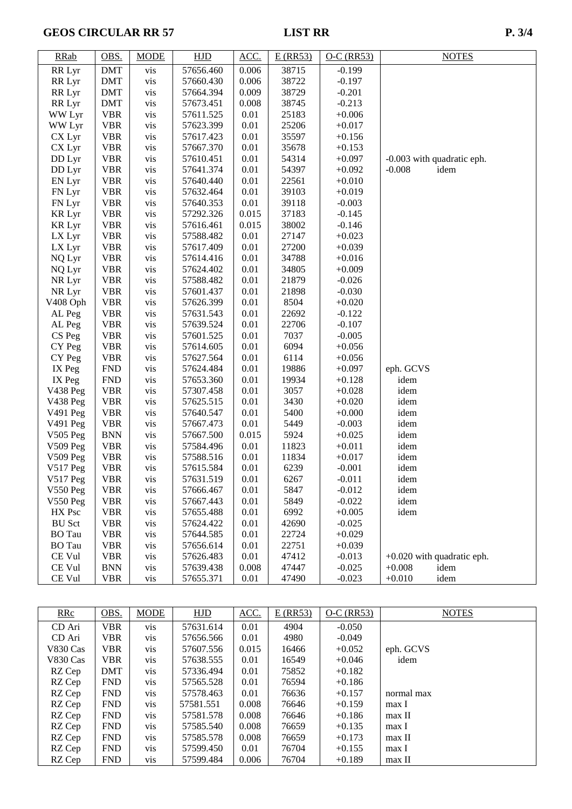# GEOS CIRCULAR RR 57 LIST RR P. 3/4

| <b>RRab</b>     | OBS.       | <b>MODE</b> | HJD       | ACC.  | $E$ (RR53) | $O-C$ (RR53) | <b>NOTES</b>                 |
|-----------------|------------|-------------|-----------|-------|------------|--------------|------------------------------|
| RR Lyr          | <b>DMT</b> | vis         | 57656.460 | 0.006 | 38715      | $-0.199$     |                              |
| RR Lyr          | <b>DMT</b> | vis         | 57660.430 | 0.006 | 38722      | $-0.197$     |                              |
| RR Lyr          | <b>DMT</b> | vis         | 57664.394 | 0.009 | 38729      | $-0.201$     |                              |
| RR Lyr          | <b>DMT</b> | vis         | 57673.451 | 0.008 | 38745      | $-0.213$     |                              |
| WW Lyr          | <b>VBR</b> | vis         | 57611.525 | 0.01  | 25183      | $+0.006$     |                              |
| WW Lyr          | <b>VBR</b> | vis         | 57623.399 | 0.01  | 25206      | $+0.017$     |                              |
| CX Lyr          | <b>VBR</b> | vis         | 57617.423 | 0.01  | 35597      | $+0.156$     |                              |
| CX Lyr          | <b>VBR</b> | vis         | 57667.370 | 0.01  | 35678      | $+0.153$     |                              |
| DD Lyr          | <b>VBR</b> | vis         | 57610.451 | 0.01  | 54314      | $+0.097$     | -0.003 with quadratic eph.   |
| DD Lyr          | <b>VBR</b> | vis         | 57641.374 | 0.01  | 54397      | $+0.092$     | $-0.008$<br>idem             |
| EN Lyr          | <b>VBR</b> | vis         | 57640.440 | 0.01  | 22561      | $+0.010$     |                              |
| FN Lyr          | <b>VBR</b> | vis         | 57632.464 | 0.01  | 39103      | $+0.019$     |                              |
| FN Lyr          | <b>VBR</b> | vis         | 57640.353 | 0.01  | 39118      | $-0.003$     |                              |
| <b>KR Lyr</b>   | <b>VBR</b> | vis         | 57292.326 | 0.015 | 37183      | $-0.145$     |                              |
| <b>KR Lyr</b>   | <b>VBR</b> | vis         | 57616.461 | 0.015 | 38002      | $-0.146$     |                              |
| LX Lyr          | <b>VBR</b> | vis         | 57588.482 | 0.01  | 27147      | $+0.023$     |                              |
| LX Lyr          | <b>VBR</b> | vis         | 57617.409 | 0.01  | 27200      | $+0.039$     |                              |
| NQ Lyr          | <b>VBR</b> | vis         | 57614.416 | 0.01  | 34788      | $+0.016$     |                              |
| NQ Lyr          | <b>VBR</b> | vis         | 57624.402 | 0.01  | 34805      | $+0.009$     |                              |
| NR Lyr          | <b>VBR</b> | vis         | 57588.482 | 0.01  | 21879      | $-0.026$     |                              |
| NR Lyr          | <b>VBR</b> | vis         | 57601.437 | 0.01  | 21898      | $-0.030$     |                              |
| V408 Oph        | <b>VBR</b> | vis         | 57626.399 | 0.01  | 8504       | $+0.020$     |                              |
| AL Peg          | <b>VBR</b> | vis         | 57631.543 | 0.01  | 22692      | $-0.122$     |                              |
| AL Peg          | <b>VBR</b> | vis         | 57639.524 | 0.01  | 22706      | $-0.107$     |                              |
| CS Peg          | <b>VBR</b> | vis         | 57601.525 | 0.01  | 7037       | $-0.005$     |                              |
| CY Peg          | <b>VBR</b> | vis         | 57614.605 | 0.01  | 6094       | $+0.056$     |                              |
| CY Peg          | <b>VBR</b> | vis         | 57627.564 | 0.01  | 6114       | $+0.056$     |                              |
| IX Peg          | <b>FND</b> | vis         | 57624.484 | 0.01  | 19886      | $+0.097$     | eph. GCVS                    |
| IX Peg          | <b>FND</b> | vis         | 57653.360 | 0.01  | 19934      | $+0.128$     | idem                         |
| V438 Peg        | <b>VBR</b> | vis         | 57307.458 | 0.01  | 3057       | $+0.028$     | idem                         |
| V438 Peg        | <b>VBR</b> | vis         | 57625.515 | 0.01  | 3430       | $+0.020$     | idem                         |
| V491 Peg        | <b>VBR</b> | vis         | 57640.547 | 0.01  | 5400       | $+0.000$     | idem                         |
| V491 Peg        | <b>VBR</b> | vis         | 57667.473 | 0.01  | 5449       | $-0.003$     | idem                         |
| <b>V505 Peg</b> | <b>BNN</b> | vis         | 57667.500 | 0.015 | 5924       | $+0.025$     | idem                         |
| V509 Peg        | <b>VBR</b> | vis         | 57584.496 | 0.01  | 11823      | $+0.011$     | idem                         |
| V509 Peg        | <b>VBR</b> | vis         | 57588.516 | 0.01  | 11834      | $+0.017$     | idem                         |
| V517 Peg        | <b>VBR</b> | vis         | 57615.584 | 0.01  | 6239       | $-0.001$     | idem                         |
| $V517$ Peg      | <b>VBR</b> | vis         | 57631.519 | 0.01  | 6267       | $-0.011$     | idem                         |
| V550 Peg        | <b>VBR</b> | vis         | 57666.467 | 0.01  | 5847       | $-0.012$     | idem                         |
| V550 Peg        | <b>VBR</b> | vis         | 57667.443 | 0.01  | 5849       | $-0.022$     | idem                         |
| HX Psc          | <b>VBR</b> | vis         | 57655.488 | 0.01  | 6992       | $+0.005$     | idem                         |
| <b>BU</b> Sct   | <b>VBR</b> | vis         | 57624.422 | 0.01  | 42690      | $-0.025$     |                              |
| <b>BO</b> Tau   | <b>VBR</b> | vis         | 57644.585 | 0.01  | 22724      | $+0.029$     |                              |
| <b>BO</b> Tau   | <b>VBR</b> | vis         | 57656.614 | 0.01  | 22751      | $+0.039$     |                              |
| CE Vul          | <b>VBR</b> | vis         | 57626.483 | 0.01  | 47412      | $-0.013$     | $+0.020$ with quadratic eph. |
| CE Vul          | <b>BNN</b> | vis         | 57639.438 | 0.008 | 47447      | $-0.025$     | $+0.008$<br>idem             |
| CE Vul          | <b>VBR</b> | vis         | 57655.371 | 0.01  | 47490      | $-0.023$     | $+0.010$<br>idem             |

| RRc      | OBS.       | <b>MODE</b> | <b>HJD</b> | ACC.  | $E$ (RR53) | $O-C$ (RR53) | <b>NOTES</b> |
|----------|------------|-------------|------------|-------|------------|--------------|--------------|
| CD Ari   | <b>VBR</b> | vis         | 57631.614  | 0.01  | 4904       | $-0.050$     |              |
| CD Ari   | <b>VBR</b> | vis         | 57656.566  | 0.01  | 4980       | $-0.049$     |              |
| V830 Cas | VBR        | vis         | 57607.556  | 0.015 | 16466      | $+0.052$     | eph. GCVS    |
| V830 Cas | <b>VBR</b> | vis         | 57638.555  | 0.01  | 16549      | $+0.046$     | idem         |
| RZ Cep   | <b>DMT</b> | vis         | 57336.494  | 0.01  | 75852      | $+0.182$     |              |
| RZ Cep   | <b>FND</b> | vis         | 57565.528  | 0.01  | 76594      | $+0.186$     |              |
| RZ Cep   | <b>FND</b> | vis         | 57578.463  | 0.01  | 76636      | $+0.157$     | normal max   |
| RZ Cep   | <b>FND</b> | vis         | 57581.551  | 0.008 | 76646      | $+0.159$     | max I        |
| RZ Cep   | <b>FND</b> | vis         | 57581.578  | 0.008 | 76646      | $+0.186$     | max II       |
| RZ Cep   | <b>FND</b> | vis         | 57585.540  | 0.008 | 76659      | $+0.135$     | max I        |
| RZ Cep   | <b>FND</b> | vis         | 57585.578  | 0.008 | 76659      | $+0.173$     | max II       |
| RZ Cep   | <b>FND</b> | vis         | 57599.450  | 0.01  | 76704      | $+0.155$     | max I        |
| RZ Cep   | <b>FND</b> | vis         | 57599.484  | 0.006 | 76704      | $+0.189$     | max II       |